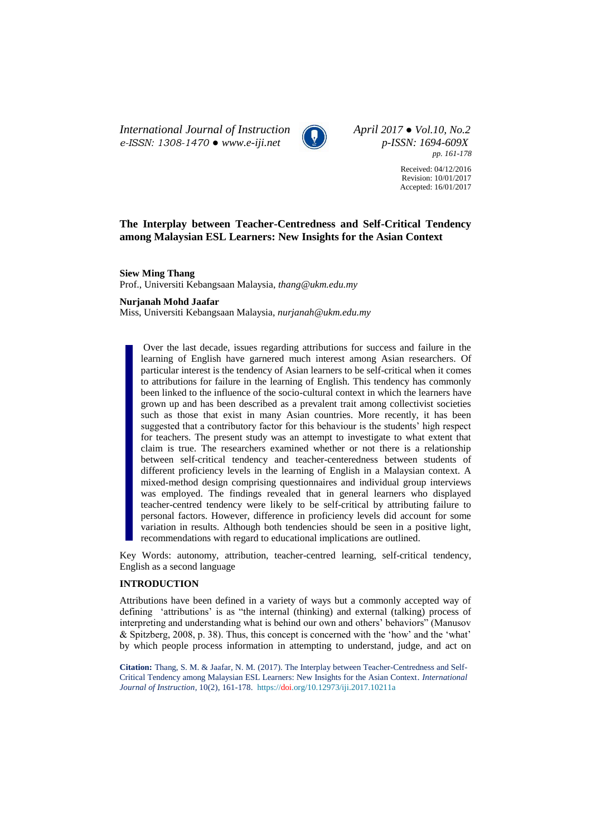*International Journal of Instruction April 2017 ● Vol.10, No.2 e-ISSN: 1308-1470 ● www.e-iji.net p-ISSN: 1694-609X*



*pp. 161-178*

Received: 04/12/2016 Revision: 10/01/2017 Accepted: 16/01/2017

# **The Interplay between Teacher-Centredness and Self-Critical Tendency among Malaysian ESL Learners: New Insights for the Asian Context**

**Siew Ming Thang** Prof., Universiti Kebangsaan Malaysia, *thang@ukm.edu.my*

### **Nurjanah Mohd Jaafar**

Miss, Universiti Kebangsaan Malaysia, *nurjanah@ukm.edu.my*

Over the last decade, issues regarding attributions for success and failure in the learning of English have garnered much interest among Asian researchers. Of particular interest is the tendency of Asian learners to be self-critical when it comes to attributions for failure in the learning of English. This tendency has commonly been linked to the influence of the socio-cultural context in which the learners have grown up and has been described as a prevalent trait among collectivist societies such as those that exist in many Asian countries. More recently, it has been suggested that a contributory factor for this behaviour is the students' high respect for teachers. The present study was an attempt to investigate to what extent that claim is true. The researchers examined whether or not there is a relationship between self-critical tendency and teacher-centeredness between students of different proficiency levels in the learning of English in a Malaysian context. A mixed-method design comprising questionnaires and individual group interviews was employed. The findings revealed that in general learners who displayed teacher-centred tendency were likely to be self-critical by attributing failure to personal factors. However, difference in proficiency levels did account for some variation in results. Although both tendencies should be seen in a positive light, recommendations with regard to educational implications are outlined.

Key Words: autonomy, attribution, teacher-centred learning, self-critical tendency, English as a second language

### **INTRODUCTION**

Attributions have been defined in a variety of ways but a commonly accepted way of defining 'attributions' is as "the internal (thinking) and external (talking) process of interpreting and understanding what is behind our own and others' behaviors" (Manusov & Spitzberg, 2008, p. 38). Thus, this concept is concerned with the 'how' and the 'what' by which people process information in attempting to understand, judge, and act on

**Citation:** Thang, S. M. & Jaafar, N. M. (2017). The Interplay between Teacher-Centredness and Self-Critical Tendency among Malaysian ESL Learners: New Insights for the Asian Context. *International Journal of Instruction*, 10(2), 161-178. https://doi.org/10.12973/iji.2017.10211a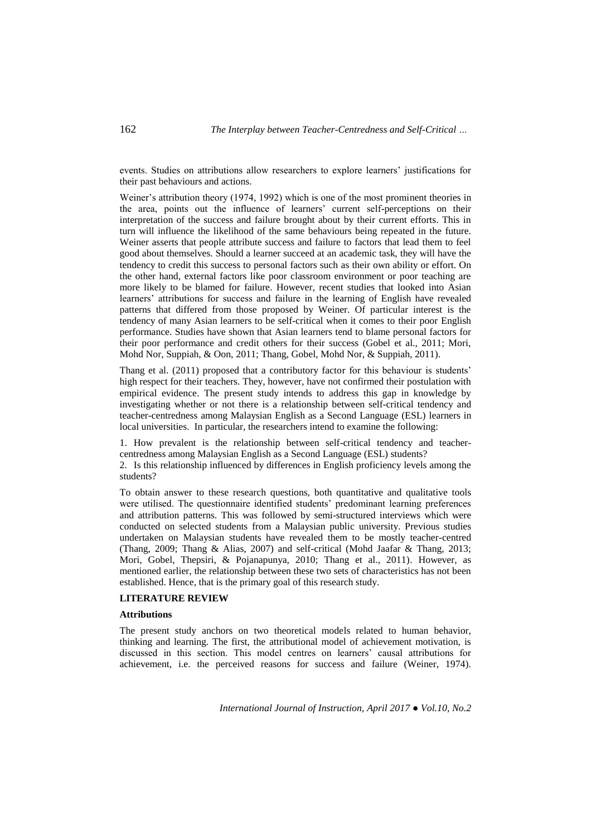events. Studies on attributions allow researchers to explore learners' justifications for their past behaviours and actions.

Weiner's attribution theory (1974, 1992) which is one of the most prominent theories in the area, points out the influence of learners' current self-perceptions on their interpretation of the success and failure brought about by their current efforts. This in turn will influence the likelihood of the same behaviours being repeated in the future. Weiner asserts that people attribute success and failure to factors that lead them to feel good about themselves. Should a learner succeed at an academic task, they will have the tendency to credit this success to personal factors such as their own ability or effort. On the other hand, external factors like poor classroom environment or poor teaching are more likely to be blamed for failure. However, recent studies that looked into Asian learners' attributions for success and failure in the learning of English have revealed patterns that differed from those proposed by Weiner. Of particular interest is the tendency of many Asian learners to be self-critical when it comes to their poor English performance. Studies have shown that Asian learners tend to blame personal factors for their poor performance and credit others for their success (Gobel et al., 2011; Mori, Mohd Nor, Suppiah, & Oon, 2011; Thang, Gobel, Mohd Nor, & Suppiah, 2011).

Thang et al. (2011) proposed that a contributory factor for this behaviour is students' high respect for their teachers. They, however, have not confirmed their postulation with empirical evidence. The present study intends to address this gap in knowledge by investigating whether or not there is a relationship between self-critical tendency and teacher-centredness among Malaysian English as a Second Language (ESL) learners in local universities. In particular, the researchers intend to examine the following:

1. How prevalent is the relationship between self-critical tendency and teachercentredness among Malaysian English as a Second Language (ESL) students?

2. Is this relationship influenced by differences in English proficiency levels among the students?

To obtain answer to these research questions, both quantitative and qualitative tools were utilised. The questionnaire identified students' predominant learning preferences and attribution patterns. This was followed by semi-structured interviews which were conducted on selected students from a Malaysian public university. Previous studies undertaken on Malaysian students have revealed them to be mostly teacher-centred (Thang, 2009; Thang & Alias, 2007) and self-critical (Mohd Jaafar & Thang, 2013; Mori, Gobel, Thepsiri, & Pojanapunya, 2010; Thang et al., 2011). However, as mentioned earlier, the relationship between these two sets of characteristics has not been established. Hence, that is the primary goal of this research study.

### **LITERATURE REVIEW**

#### **Attributions**

The present study anchors on two theoretical models related to human behavior, thinking and learning. The first, the attributional model of achievement motivation, is discussed in this section. This model centres on learners' causal attributions for achievement, i.e. the perceived reasons for success and failure (Weiner, 1974).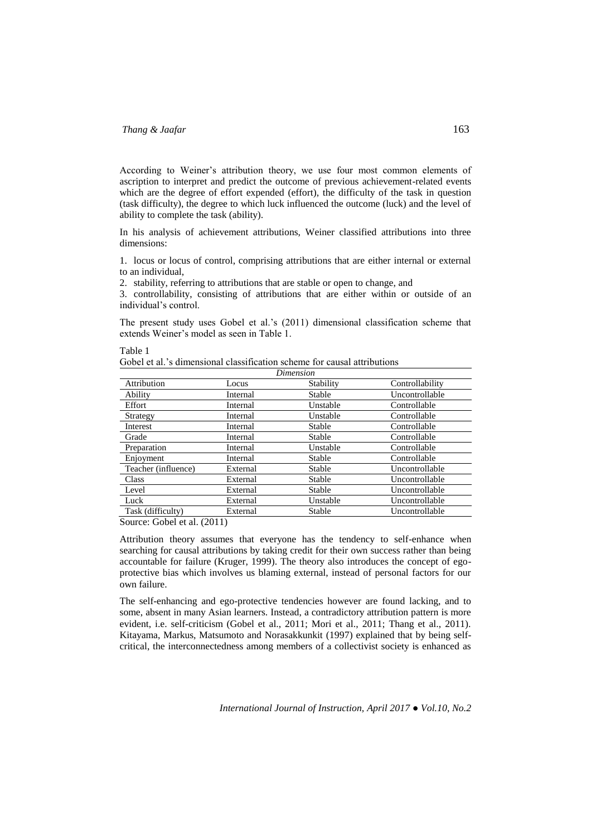According to Weiner's attribution theory, we use four most common elements of ascription to interpret and predict the outcome of previous achievement-related events which are the degree of effort expended (effort), the difficulty of the task in question (task difficulty), the degree to which luck influenced the outcome (luck) and the level of ability to complete the task (ability).

In his analysis of achievement attributions, Weiner classified attributions into three dimensions:

1. locus or locus of control, comprising attributions that are either internal or external to an individual,

2. stability, referring to attributions that are stable or open to change, and

3. controllability, consisting of attributions that are either within or outside of an individual's control.

The present study uses Gobel et al.'s (2011) dimensional classification scheme that extends Weiner's model as seen in Table 1.

| Table 1                                                                  |  |  |
|--------------------------------------------------------------------------|--|--|
| Gobel et al.'s dimensional classification scheme for causal attributions |  |  |

| Dimension           |          |           |                 |  |
|---------------------|----------|-----------|-----------------|--|
| Attribution         | Locus    | Stability | Controllability |  |
| Ability             | Internal | Stable    | Uncontrollable  |  |
| Effort              | Internal | Unstable  | Controllable    |  |
| Strategy            | Internal | Unstable  | Controllable    |  |
| Interest            | Internal | Stable    | Controllable    |  |
| Grade               | Internal | Stable    | Controllable    |  |
| Preparation         | Internal | Unstable  | Controllable    |  |
| Enjoyment           | Internal | Stable    | Controllable    |  |
| Teacher (influence) | External | Stable    | Uncontrollable  |  |
| Class               | External | Stable    | Uncontrollable  |  |
| Level               | External | Stable    | Uncontrollable  |  |
| Luck                | External | Unstable  | Uncontrollable  |  |
| Task (difficulty)   | External | Stable    | Uncontrollable  |  |

Source: Gobel et al. (2011)

Attribution theory assumes that everyone has the tendency to self-enhance when searching for causal attributions by taking credit for their own success rather than being accountable for failure (Kruger, 1999). The theory also introduces the concept of egoprotective bias which involves us blaming external, instead of personal factors for our own failure.

The self-enhancing and ego-protective tendencies however are found lacking, and to some, absent in many Asian learners. Instead, a contradictory attribution pattern is more evident, i.e. self-criticism (Gobel et al., 2011; Mori et al., 2011; Thang et al., 2011). Kitayama, Markus, Matsumoto and Norasakkunkit (1997) explained that by being selfcritical, the interconnectedness among members of a collectivist society is enhanced as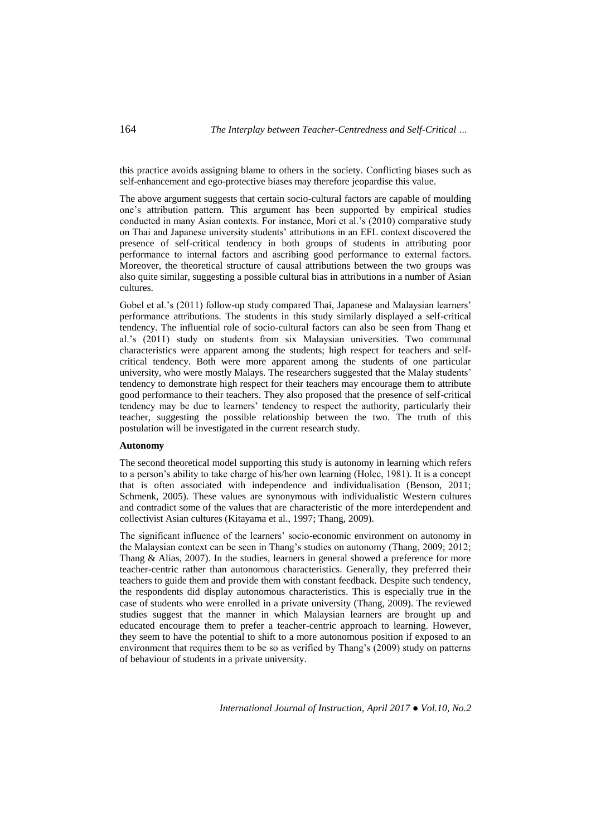this practice avoids assigning blame to others in the society. Conflicting biases such as self-enhancement and ego-protective biases may therefore jeopardise this value.

The above argument suggests that certain socio-cultural factors are capable of moulding one's attribution pattern. This argument has been supported by empirical studies conducted in many Asian contexts. For instance, Mori et al.'s (2010) comparative study on Thai and Japanese university students' attributions in an EFL context discovered the presence of self-critical tendency in both groups of students in attributing poor performance to internal factors and ascribing good performance to external factors. Moreover, the theoretical structure of causal attributions between the two groups was also quite similar, suggesting a possible cultural bias in attributions in a number of Asian cultures.

Gobel et al.'s (2011) follow-up study compared Thai, Japanese and Malaysian learners' performance attributions. The students in this study similarly displayed a self-critical tendency. The influential role of socio-cultural factors can also be seen from Thang et al.'s (2011) study on students from six Malaysian universities. Two communal characteristics were apparent among the students; high respect for teachers and selfcritical tendency. Both were more apparent among the students of one particular university, who were mostly Malays. The researchers suggested that the Malay students' tendency to demonstrate high respect for their teachers may encourage them to attribute good performance to their teachers. They also proposed that the presence of self-critical tendency may be due to learners' tendency to respect the authority, particularly their teacher, suggesting the possible relationship between the two. The truth of this postulation will be investigated in the current research study.

#### **Autonomy**

The second theoretical model supporting this study is autonomy in learning which refers to a person's ability to take charge of his/her own learning (Holec, 1981). It is a concept that is often associated with independence and individualisation (Benson, 2011; Schmenk, 2005). These values are synonymous with individualistic Western cultures and contradict some of the values that are characteristic of the more interdependent and collectivist Asian cultures (Kitayama et al., 1997; Thang, 2009).

The significant influence of the learners' socio-economic environment on autonomy in the Malaysian context can be seen in Thang's studies on autonomy (Thang, 2009; 2012; Thang & Alias, 2007). In the studies, learners in general showed a preference for more teacher-centric rather than autonomous characteristics. Generally, they preferred their teachers to guide them and provide them with constant feedback. Despite such tendency, the respondents did display autonomous characteristics. This is especially true in the case of students who were enrolled in a private university (Thang, 2009). The reviewed studies suggest that the manner in which Malaysian learners are brought up and educated encourage them to prefer a teacher-centric approach to learning. However, they seem to have the potential to shift to a more autonomous position if exposed to an environment that requires them to be so as verified by Thang's (2009) study on patterns of behaviour of students in a private university.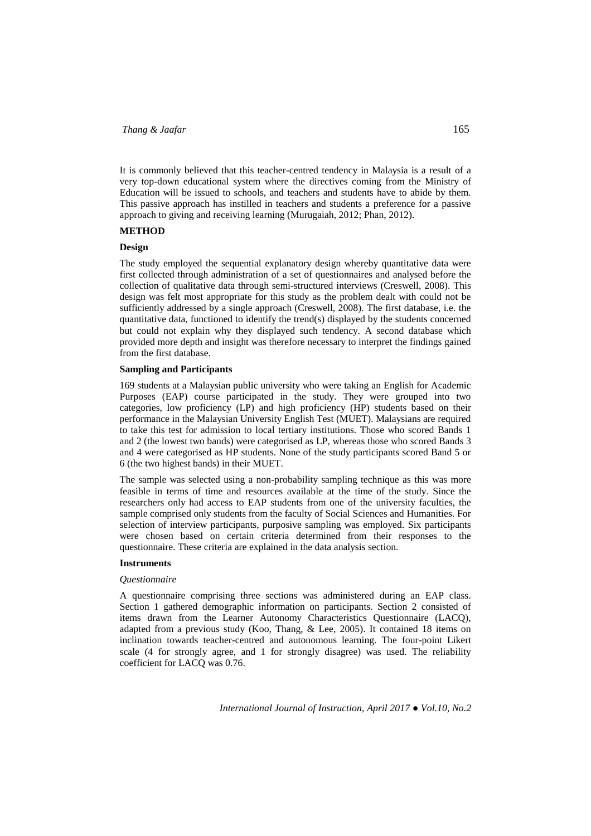It is commonly believed that this teacher-centred tendency in Malaysia is a result of a very top-down educational system where the directives coming from the Ministry of Education will be issued to schools, and teachers and students have to abide by them. This passive approach has instilled in teachers and students a preference for a passive approach to giving and receiving learning (Murugaiah, 2012; Phan, 2012).

# **METHOD**

### **Design**

The study employed the sequential explanatory design whereby quantitative data were first collected through administration of a set of questionnaires and analysed before the collection of qualitative data through semi-structured interviews (Creswell, 2008). This design was felt most appropriate for this study as the problem dealt with could not be sufficiently addressed by a single approach (Creswell, 2008). The first database, i.e. the quantitative data, functioned to identify the trend(s) displayed by the students concerned but could not explain why they displayed such tendency. A second database which provided more depth and insight was therefore necessary to interpret the findings gained from the first database.

#### **Sampling and Participants**

169 students at a Malaysian public university who were taking an English for Academic Purposes (EAP) course participated in the study. They were grouped into two categories, low proficiency (LP) and high proficiency (HP) students based on their performance in the Malaysian University English Test (MUET). Malaysians are required to take this test for admission to local tertiary institutions. Those who scored Bands 1 and 2 (the lowest two bands) were categorised as LP, whereas those who scored Bands 3 and 4 were categorised as HP students. None of the study participants scored Band 5 or 6 (the two highest bands) in their MUET.

The sample was selected using a non-probability sampling technique as this was more feasible in terms of time and resources available at the time of the study. Since the researchers only had access to EAP students from one of the university faculties, the sample comprised only students from the faculty of Social Sciences and Humanities. For selection of interview participants, purposive sampling was employed. Six participants were chosen based on certain criteria determined from their responses to the questionnaire. These criteria are explained in the data analysis section.

### **Instruments**

#### *Questionnaire*

A questionnaire comprising three sections was administered during an EAP class. Section 1 gathered demographic information on participants. Section 2 consisted of items drawn from the Learner Autonomy Characteristics Questionnaire (LACQ), adapted from a previous study (Koo, Thang, & Lee, 2005). It contained 18 items on inclination towards teacher-centred and autonomous learning. The four-point Likert scale (4 for strongly agree, and 1 for strongly disagree) was used. The reliability coefficient for LACQ was 0.76.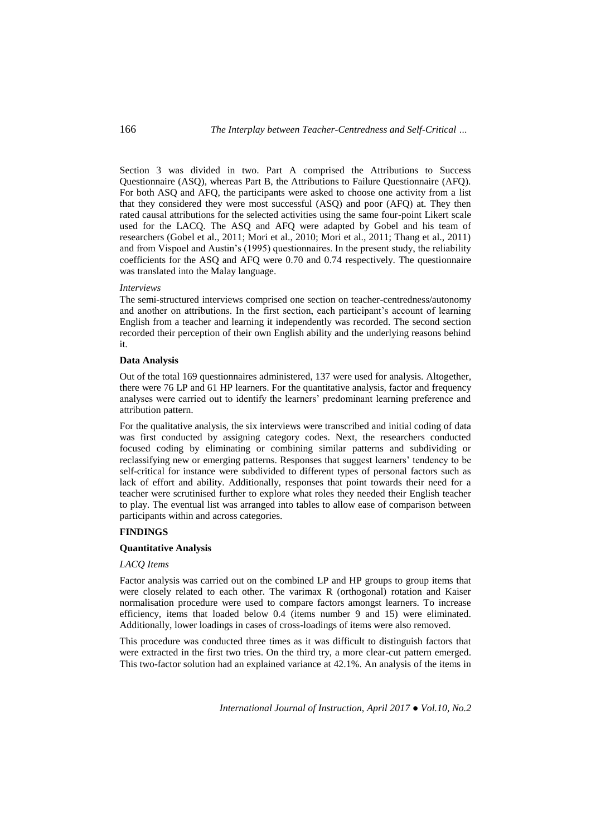Section 3 was divided in two. Part A comprised the Attributions to Success Questionnaire (ASQ), whereas Part B, the Attributions to Failure Questionnaire (AFQ). For both ASQ and AFQ, the participants were asked to choose one activity from a list that they considered they were most successful (ASQ) and poor (AFQ) at. They then rated causal attributions for the selected activities using the same four-point Likert scale used for the LACQ. The ASQ and AFQ were adapted by Gobel and his team of researchers (Gobel et al., 2011; Mori et al., 2010; Mori et al., 2011; Thang et al., 2011) and from Vispoel and Austin's (1995) questionnaires. In the present study, the reliability coefficients for the ASQ and AFQ were 0.70 and 0.74 respectively. The questionnaire was translated into the Malay language.

#### *Interviews*

The semi-structured interviews comprised one section on teacher-centredness/autonomy and another on attributions. In the first section, each participant's account of learning English from a teacher and learning it independently was recorded. The second section recorded their perception of their own English ability and the underlying reasons behind it.

#### **Data Analysis**

Out of the total 169 questionnaires administered, 137 were used for analysis. Altogether, there were 76 LP and 61 HP learners. For the quantitative analysis, factor and frequency analyses were carried out to identify the learners' predominant learning preference and attribution pattern.

For the qualitative analysis, the six interviews were transcribed and initial coding of data was first conducted by assigning category codes. Next, the researchers conducted focused coding by eliminating or combining similar patterns and subdividing or reclassifying new or emerging patterns. Responses that suggest learners' tendency to be self-critical for instance were subdivided to different types of personal factors such as lack of effort and ability. Additionally, responses that point towards their need for a teacher were scrutinised further to explore what roles they needed their English teacher to play. The eventual list was arranged into tables to allow ease of comparison between participants within and across categories.

### **FINDINGS**

#### **Quantitative Analysis**

#### *LACQ Items*

Factor analysis was carried out on the combined LP and HP groups to group items that were closely related to each other. The varimax R (orthogonal) rotation and Kaiser normalisation procedure were used to compare factors amongst learners. To increase efficiency, items that loaded below 0.4 (items number 9 and 15) were eliminated. Additionally, lower loadings in cases of cross-loadings of items were also removed.

This procedure was conducted three times as it was difficult to distinguish factors that were extracted in the first two tries. On the third try, a more clear-cut pattern emerged. This two-factor solution had an explained variance at 42.1%. An analysis of the items in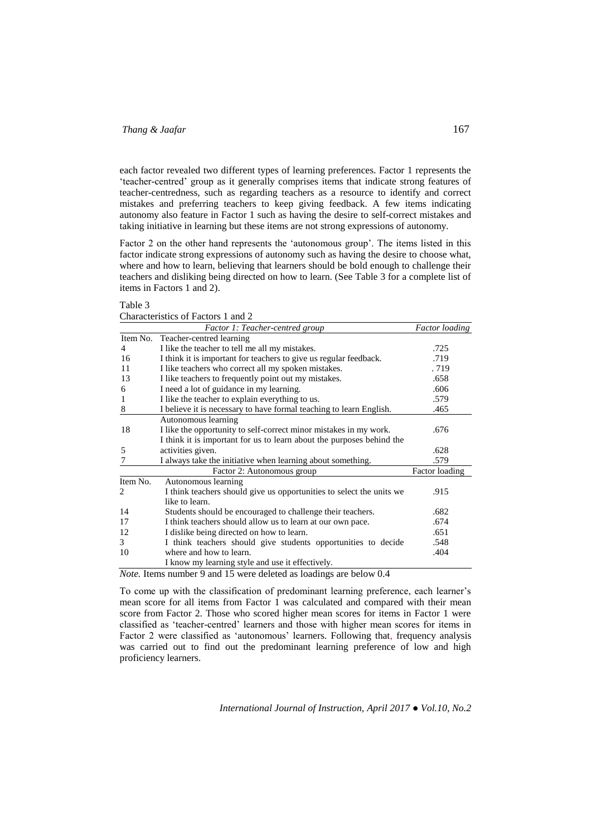each factor revealed two different types of learning preferences. Factor 1 represents the 'teacher-centred' group as it generally comprises items that indicate strong features of teacher-centredness, such as regarding teachers as a resource to identify and correct mistakes and preferring teachers to keep giving feedback. A few items indicating autonomy also feature in Factor 1 such as having the desire to self-correct mistakes and taking initiative in learning but these items are not strong expressions of autonomy.

Factor 2 on the other hand represents the 'autonomous group'. The items listed in this factor indicate strong expressions of autonomy such as having the desire to choose what, where and how to learn, believing that learners should be bold enough to challenge their teachers and disliking being directed on how to learn. (See Table 3 for a complete list of items in Factors 1 and 2).

Table 3 Characteristics of Factors 1 and 2

|          | Factor 1: Teacher-centred group                                       | <b>Factor</b> loading |
|----------|-----------------------------------------------------------------------|-----------------------|
|          | Item No. Teacher-centred learning                                     |                       |
| 4        | I like the teacher to tell me all my mistakes.                        | .725                  |
| 16       | I think it is important for teachers to give us regular feedback.     | .719                  |
| 11       | I like teachers who correct all my spoken mistakes.                   | . 719                 |
| 13       | I like teachers to frequently point out my mistakes.                  | .658                  |
| 6        | I need a lot of guidance in my learning.                              | .606                  |
| 1        | I like the teacher to explain everything to us.                       | .579                  |
| 8        | I believe it is necessary to have formal teaching to learn English.   | .465                  |
|          | Autonomous learning                                                   |                       |
| 18       | I like the opportunity to self-correct minor mistakes in my work.     | .676                  |
|          | I think it is important for us to learn about the purposes behind the |                       |
| 5        | activities given.                                                     | .628                  |
|          |                                                                       |                       |
|          | I always take the initiative when learning about something.           | .579                  |
|          | Factor 2: Autonomous group                                            | Factor loading        |
| Item No. | Autonomous learning                                                   |                       |
| 2        | I think teachers should give us opportunities to select the units we  | .915                  |
|          | like to learn.                                                        |                       |
| 14       | Students should be encouraged to challenge their teachers.            | .682                  |
| 17       | I think teachers should allow us to learn at our own pace.            | .674                  |
| 12       | I dislike being directed on how to learn.                             | .651                  |
| 3        | I think teachers should give students opportunities to decide         | .548                  |
| 10       | where and how to learn.                                               | .404                  |
|          | I know my learning style and use it effectively.                      |                       |

*Note.* Items number 9 and 15 were deleted as loadings are below 0.4

To come up with the classification of predominant learning preference, each learner's mean score for all items from Factor 1 was calculated and compared with their mean score from Factor 2. Those who scored higher mean scores for items in Factor 1 were classified as 'teacher-centred' learners and those with higher mean scores for items in Factor 2 were classified as 'autonomous' learners. Following that, frequency analysis was carried out to find out the predominant learning preference of low and high proficiency learners.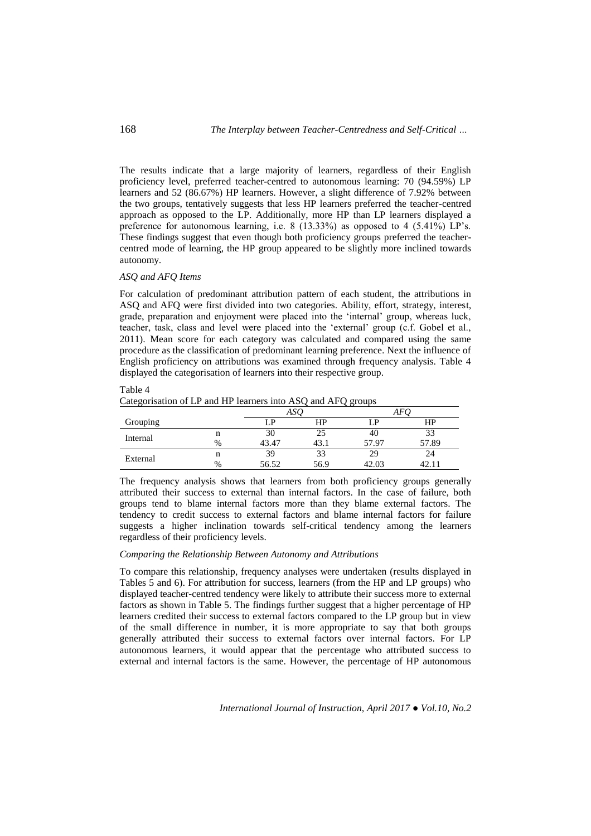The results indicate that a large majority of learners, regardless of their English proficiency level, preferred teacher-centred to autonomous learning: 70 (94.59%) LP learners and 52 (86.67%) HP learners. However, a slight difference of 7.92% between the two groups, tentatively suggests that less HP learners preferred the teacher-centred approach as opposed to the LP. Additionally, more HP than LP learners displayed a preference for autonomous learning, i.e.  $8(13.33\%)$  as opposed to  $4(5.41\%)$  LP's. These findings suggest that even though both proficiency groups preferred the teachercentred mode of learning, the HP group appeared to be slightly more inclined towards autonomy.

### *ASQ and AFQ Items*

For calculation of predominant attribution pattern of each student, the attributions in ASQ and AFQ were first divided into two categories. Ability, effort, strategy, interest, grade, preparation and enjoyment were placed into the 'internal' group, whereas luck, teacher, task, class and level were placed into the 'external' group (c.f. Gobel et al., 2011). Mean score for each category was calculated and compared using the same procedure as the classification of predominant learning preference. Next the influence of English proficiency on attributions was examined through frequency analysis. Table 4 displayed the categorisation of learners into their respective group.

#### Table 4

Categorisation of LP and HP learners into ASQ and AFQ groups

|          |               | лυ    |      | лı    |       |
|----------|---------------|-------|------|-------|-------|
| Grouping |               | IР    | HP   | ΓD    | HP    |
| Internal |               | 30    | 25   | 40    | 33    |
|          | $\frac{0}{0}$ | 43.47 | 43.1 | 57.97 | 57.89 |
| External |               | 39    | 33   | 29    | 24    |
|          | $\frac{0}{0}$ | 56.52 | 56.9 |       |       |

The frequency analysis shows that learners from both proficiency groups generally attributed their success to external than internal factors. In the case of failure, both groups tend to blame internal factors more than they blame external factors. The tendency to credit success to external factors and blame internal factors for failure suggests a higher inclination towards self-critical tendency among the learners regardless of their proficiency levels.

#### *Comparing the Relationship Between Autonomy and Attributions*

To compare this relationship, frequency analyses were undertaken (results displayed in Tables 5 and 6). For attribution for success, learners (from the HP and LP groups) who displayed teacher-centred tendency were likely to attribute their success more to external factors as shown in Table 5. The findings further suggest that a higher percentage of HP learners credited their success to external factors compared to the LP group but in view of the small difference in number, it is more appropriate to say that both groups generally attributed their success to external factors over internal factors. For LP autonomous learners, it would appear that the percentage who attributed success to external and internal factors is the same. However, the percentage of HP autonomous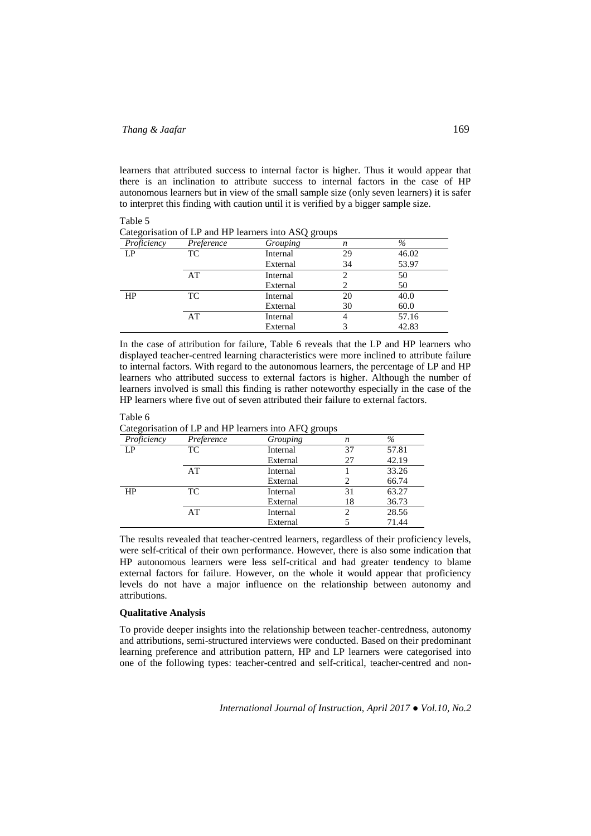Table 5

learners that attributed success to internal factor is higher. Thus it would appear that there is an inclination to attribute success to internal factors in the case of HP autonomous learners but in view of the small sample size (only seven learners) it is safer to interpret this finding with caution until it is verified by a bigger sample size.

| Categorisation of LP and HP learners into ASQ groups |            |          |    |       |
|------------------------------------------------------|------------|----------|----|-------|
| Proficiency                                          | Preference | Grouping | n  | $\%$  |
| LP                                                   | ТC         | Internal | 29 | 46.02 |
|                                                      |            | External | 34 | 53.97 |
|                                                      | AT         | Internal |    | 50    |
|                                                      |            | External |    | 50    |
| HP                                                   | TC         | Internal | 20 | 40.0  |
|                                                      |            | External | 30 | 60.0  |
|                                                      | AT         | Internal |    | 57.16 |
|                                                      |            | External |    | 42.83 |

In the case of attribution for failure, Table 6 reveals that the LP and HP learners who displayed teacher-centred learning characteristics were more inclined to attribute failure to internal factors. With regard to the autonomous learners, the percentage of LP and HP learners who attributed success to external factors is higher. Although the number of learners involved is small this finding is rather noteworthy especially in the case of the HP learners where five out of seven attributed their failure to external factors.

| Categorisation of LP and HP learners into AFO groups |            |          |                |       |
|------------------------------------------------------|------------|----------|----------------|-------|
| Proficiency                                          | Preference | Grouping | n              | $\%$  |
| LP                                                   | TС         | Internal | 37             | 57.81 |
|                                                      |            | External | 27             | 42.19 |
|                                                      | AT         | Internal |                | 33.26 |
|                                                      |            | External |                | 66.74 |
| HP                                                   | TC         | Internal | 31             | 63.27 |
|                                                      |            | External | 18             | 36.73 |
|                                                      | AT         | Internal | $\mathfrak{D}$ | 28.56 |
|                                                      |            | External |                | 71.44 |

#### Table 6

ction of LP and HP learners into  $\Lambda$  EQ

Categorisation of LP and HP learners into ASQ groups

The results revealed that teacher-centred learners, regardless of their proficiency levels, were self-critical of their own performance. However, there is also some indication that HP autonomous learners were less self-critical and had greater tendency to blame external factors for failure. However, on the whole it would appear that proficiency levels do not have a major influence on the relationship between autonomy and attributions.

### **Qualitative Analysis**

To provide deeper insights into the relationship between teacher-centredness, autonomy and attributions, semi-structured interviews were conducted. Based on their predominant learning preference and attribution pattern, HP and LP learners were categorised into one of the following types: teacher-centred and self-critical, teacher-centred and non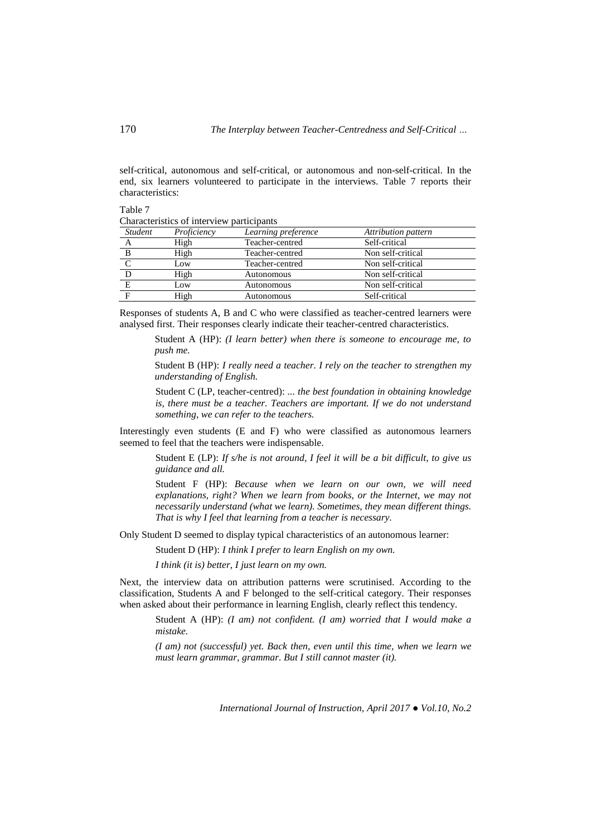self-critical, autonomous and self-critical, or autonomous and non-self-critical. In the end, six learners volunteered to participate in the interviews. Table 7 reports their characteristics:

| Characterístics of thich view barticipality |             |                     |                     |  |
|---------------------------------------------|-------------|---------------------|---------------------|--|
| <i>Student</i>                              | Proficiency | Learning preference | Attribution pattern |  |
| Α                                           | High        | Teacher-centred     | Self-critical       |  |
| B                                           | High        | Teacher-centred     | Non self-critical   |  |
|                                             | Low         | Teacher-centred     | Non self-critical   |  |
|                                             | High        | Autonomous          | Non self-critical   |  |
| E                                           | Low         | Autonomous          | Non self-critical   |  |
| E                                           | High        | Autonomous          | Self-critical       |  |

Characteristics of interview participants

Responses of students A, B and C who were classified as teacher-centred learners were analysed first. Their responses clearly indicate their teacher-centred characteristics.

Student A (HP): *(I learn better) when there is someone to encourage me, to push me.*

Student B (HP): *I really need a teacher. I rely on the teacher to strengthen my understanding of English.*

Student C (LP, teacher-centred): *... the best foundation in obtaining knowledge is, there must be a teacher. Teachers are important. If we do not understand something, we can refer to the teachers.* 

Interestingly even students (E and F) who were classified as autonomous learners seemed to feel that the teachers were indispensable.

Student E (LP): *If s/he is not around, I feel it will be a bit difficult, to give us guidance and all.*

Student F (HP): *Because when we learn on our own, we will need explanations, right? When we learn from books, or the Internet, we may not necessarily understand (what we learn). Sometimes, they mean different things. That is why I feel that learning from a teacher is necessary.*

Only Student D seemed to display typical characteristics of an autonomous learner:

Student D (HP): *I think I prefer to learn English on my own.* 

*I think (it is) better, I just learn on my own.*

Next, the interview data on attribution patterns were scrutinised. According to the classification, Students A and F belonged to the self-critical category. Their responses when asked about their performance in learning English, clearly reflect this tendency.

Student A (HP): *(I am) not confident. (I am) worried that I would make a mistake.*

*(I am) not (successful) yet. Back then, even until this time, when we learn we must learn grammar, grammar. But I still cannot master (it).*

*International Journal of Instruction, April 2017 ● Vol.10, No.2*

Table 7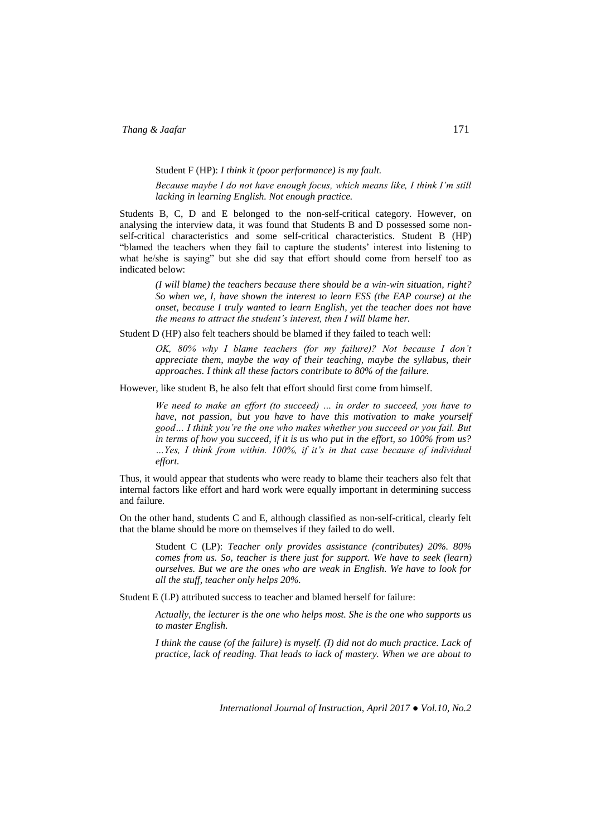Student F (HP): *I think it (poor performance) is my fault.*

*Because maybe I do not have enough focus, which means like, I think I'm still lacking in learning English. Not enough practice.*

Students B, C, D and E belonged to the non-self-critical category. However, on analysing the interview data, it was found that Students B and D possessed some nonself-critical characteristics and some self-critical characteristics. Student B (HP) "blamed the teachers when they fail to capture the students' interest into listening to what he/she is saying" but she did say that effort should come from herself too as indicated below:

> *(I will blame) the teachers because there should be a win-win situation, right? So when we, I, have shown the interest to learn ESS (the EAP course) at the onset, because I truly wanted to learn English, yet the teacher does not have the means to attract the student's interest, then I will blame her.*

Student D (HP) also felt teachers should be blamed if they failed to teach well:

*OK, 80% why I blame teachers (for my failure)? Not because I don't appreciate them, maybe the way of their teaching, maybe the syllabus, their approaches. I think all these factors contribute to 80% of the failure.* 

However, like student B, he also felt that effort should first come from himself.

*We need to make an effort (to succeed) … in order to succeed, you have to have, not passion, but you have to have this motivation to make yourself good… I think you're the one who makes whether you succeed or you fail. But in terms of how you succeed, if it is us who put in the effort, so 100% from us? …Yes, I think from within. 100%, if it's in that case because of individual effort.*

Thus, it would appear that students who were ready to blame their teachers also felt that internal factors like effort and hard work were equally important in determining success and failure.

On the other hand, students C and E, although classified as non-self-critical, clearly felt that the blame should be more on themselves if they failed to do well.

> Student C (LP): *Teacher only provides assistance (contributes) 20%. 80% comes from us. So, teacher is there just for support. We have to seek (learn) ourselves. But we are the ones who are weak in English. We have to look for all the stuff, teacher only helps 20%.*

Student E (LP) attributed success to teacher and blamed herself for failure:

*Actually, the lecturer is the one who helps most. She is the one who supports us to master English.*

*I think the cause (of the failure) is myself. (I) did not do much practice. Lack of practice, lack of reading. That leads to lack of mastery. When we are about to*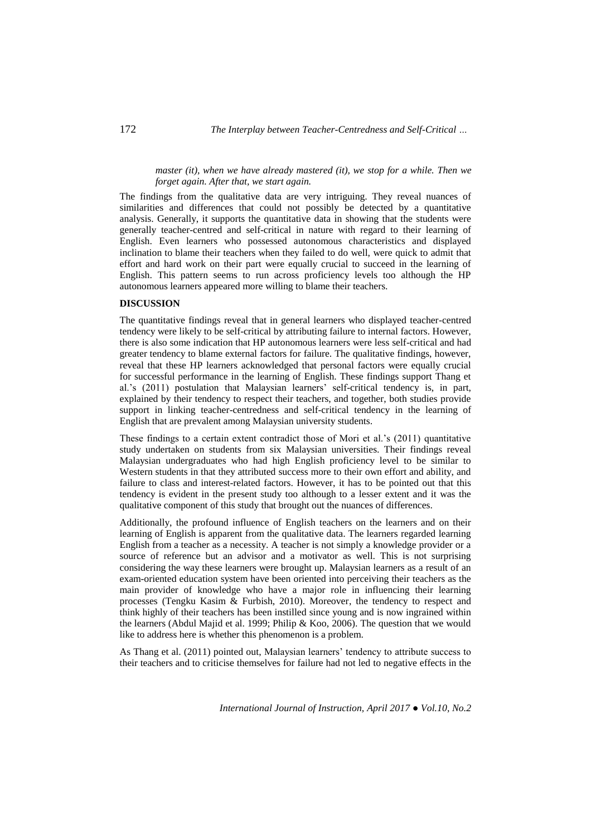*master (it), when we have already mastered (it), we stop for a while. Then we forget again. After that, we start again.*

The findings from the qualitative data are very intriguing. They reveal nuances of similarities and differences that could not possibly be detected by a quantitative analysis. Generally, it supports the quantitative data in showing that the students were generally teacher-centred and self-critical in nature with regard to their learning of English. Even learners who possessed autonomous characteristics and displayed inclination to blame their teachers when they failed to do well, were quick to admit that effort and hard work on their part were equally crucial to succeed in the learning of English. This pattern seems to run across proficiency levels too although the HP autonomous learners appeared more willing to blame their teachers.

### **DISCUSSION**

The quantitative findings reveal that in general learners who displayed teacher-centred tendency were likely to be self-critical by attributing failure to internal factors. However, there is also some indication that HP autonomous learners were less self-critical and had greater tendency to blame external factors for failure. The qualitative findings, however, reveal that these HP learners acknowledged that personal factors were equally crucial for successful performance in the learning of English. These findings support Thang et al.'s (2011) postulation that Malaysian learners' self-critical tendency is, in part, explained by their tendency to respect their teachers, and together, both studies provide support in linking teacher-centredness and self-critical tendency in the learning of English that are prevalent among Malaysian university students.

These findings to a certain extent contradict those of Mori et al.'s (2011) quantitative study undertaken on students from six Malaysian universities. Their findings reveal Malaysian undergraduates who had high English proficiency level to be similar to Western students in that they attributed success more to their own effort and ability, and failure to class and interest-related factors. However, it has to be pointed out that this tendency is evident in the present study too although to a lesser extent and it was the qualitative component of this study that brought out the nuances of differences.

Additionally, the profound influence of English teachers on the learners and on their learning of English is apparent from the qualitative data. The learners regarded learning English from a teacher as a necessity. A teacher is not simply a knowledge provider or a source of reference but an advisor and a motivator as well. This is not surprising considering the way these learners were brought up. Malaysian learners as a result of an exam-oriented education system have been oriented into perceiving their teachers as the main provider of knowledge who have a major role in influencing their learning processes (Tengku Kasim & Furbish, 2010). Moreover, the tendency to respect and think highly of their teachers has been instilled since young and is now ingrained within the learners (Abdul Majid et al. 1999; Philip & Koo, 2006). The question that we would like to address here is whether this phenomenon is a problem.

As Thang et al. (2011) pointed out, Malaysian learners' tendency to attribute success to their teachers and to criticise themselves for failure had not led to negative effects in the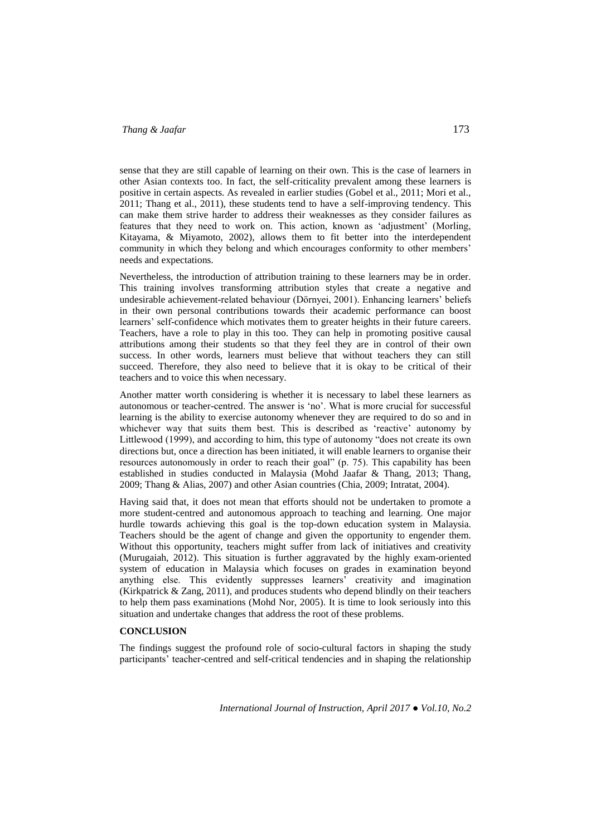sense that they are still capable of learning on their own. This is the case of learners in other Asian contexts too. In fact, the self-criticality prevalent among these learners is positive in certain aspects. As revealed in earlier studies (Gobel et al., 2011; Mori et al., 2011; Thang et al., 2011), these students tend to have a self-improving tendency. This can make them strive harder to address their weaknesses as they consider failures as features that they need to work on. This action, known as 'adjustment' (Morling, Kitayama, & Miyamoto, 2002), allows them to fit better into the interdependent community in which they belong and which encourages conformity to other members' needs and expectations.

Nevertheless, the introduction of attribution training to these learners may be in order. This training involves transforming attribution styles that create a negative and undesirable achievement-related behaviour (Dörnyei, 2001). Enhancing learners' beliefs in their own personal contributions towards their academic performance can boost learners' self-confidence which motivates them to greater heights in their future careers. Teachers, have a role to play in this too. They can help in promoting positive causal attributions among their students so that they feel they are in control of their own success. In other words, learners must believe that without teachers they can still succeed. Therefore, they also need to believe that it is okay to be critical of their teachers and to voice this when necessary.

Another matter worth considering is whether it is necessary to label these learners as autonomous or teacher-centred. The answer is 'no'. What is more crucial for successful learning is the ability to exercise autonomy whenever they are required to do so and in whichever way that suits them best. This is described as 'reactive' autonomy by Littlewood (1999), and according to him, this type of autonomy "does not create its own directions but, once a direction has been initiated, it will enable learners to organise their resources autonomously in order to reach their goal" (p. 75). This capability has been established in studies conducted in Malaysia (Mohd Jaafar & Thang, 2013; Thang, 2009; Thang & Alias, 2007) and other Asian countries (Chia, 2009; Intratat, 2004).

Having said that, it does not mean that efforts should not be undertaken to promote a more student-centred and autonomous approach to teaching and learning. One major hurdle towards achieving this goal is the top-down education system in Malaysia. Teachers should be the agent of change and given the opportunity to engender them. Without this opportunity, teachers might suffer from lack of initiatives and creativity (Murugaiah, 2012). This situation is further aggravated by the highly exam-oriented system of education in Malaysia which focuses on grades in examination beyond anything else. This evidently suppresses learners' creativity and imagination (Kirkpatrick & Zang, 2011), and produces students who depend blindly on their teachers to help them pass examinations (Mohd Nor, 2005). It is time to look seriously into this situation and undertake changes that address the root of these problems.

## **CONCLUSION**

The findings suggest the profound role of socio-cultural factors in shaping the study participants' teacher-centred and self-critical tendencies and in shaping the relationship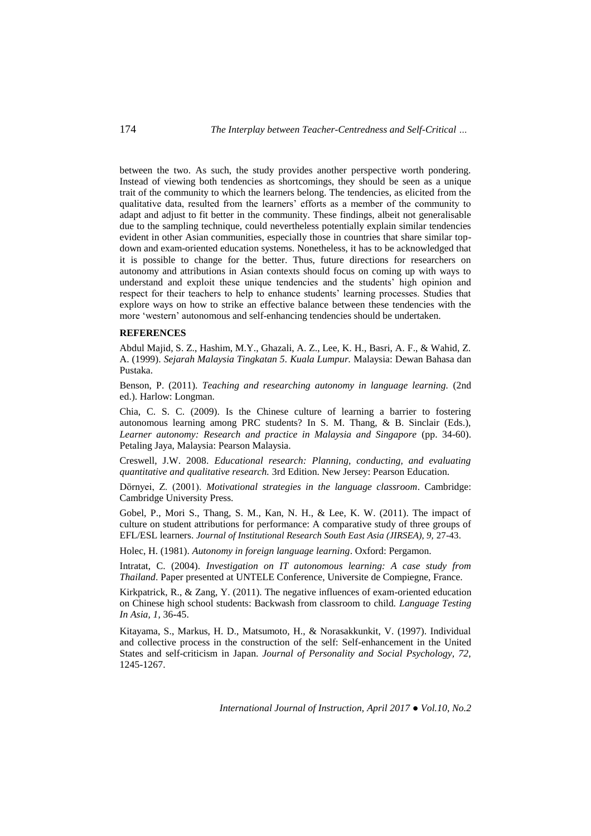between the two. As such, the study provides another perspective worth pondering. Instead of viewing both tendencies as shortcomings, they should be seen as a unique trait of the community to which the learners belong. The tendencies, as elicited from the qualitative data, resulted from the learners' efforts as a member of the community to adapt and adjust to fit better in the community. These findings, albeit not generalisable due to the sampling technique, could nevertheless potentially explain similar tendencies evident in other Asian communities, especially those in countries that share similar topdown and exam-oriented education systems. Nonetheless, it has to be acknowledged that it is possible to change for the better. Thus, future directions for researchers on autonomy and attributions in Asian contexts should focus on coming up with ways to understand and exploit these unique tendencies and the students' high opinion and respect for their teachers to help to enhance students' learning processes. Studies that explore ways on how to strike an effective balance between these tendencies with the more 'western' autonomous and self-enhancing tendencies should be undertaken.

#### **REFERENCES**

Abdul Majid, S. Z., Hashim, M.Y., Ghazali, A. Z., Lee, K. H., Basri, A. F., & Wahid, Z. A. (1999). *Sejarah Malaysia Tingkatan 5. Kuala Lumpur.* Malaysia: Dewan Bahasa dan Pustaka.

Benson, P. (2011). *Teaching and researching autonomy in language learning.* (2nd ed.). Harlow: Longman.

Chia, C. S. C. (2009). Is the Chinese culture of learning a barrier to fostering autonomous learning among PRC students? In S. M. Thang, & B. Sinclair (Eds.), Learner autonomy: Research and practice in Malaysia and Singapore (pp. 34-60). Petaling Jaya, Malaysia: Pearson Malaysia.

Creswell, J.W. 2008. *Educational research: Planning, conducting, and evaluating quantitative and qualitative research.* 3rd Edition. New Jersey: Pearson Education.

Dörnyei, Z. (2001). *Motivational strategies in the language classroom*. Cambridge: Cambridge University Press.

Gobel, P., Mori S., Thang, S. M., Kan, N. H., & Lee, K. W. (2011). The impact of culture on student attributions for performance: A comparative study of three groups of EFL/ESL learners. *Journal of Institutional Research South East Asia (JIRSEA), 9,* 27-43.

Holec, H. (1981). *Autonomy in foreign language learning*. Oxford: Pergamon.

Intratat, C. (2004). *Investigation on IT autonomous learning: A case study from Thailand*. Paper presented at UNTELE Conference, Universite de Compiegne, France.

Kirkpatrick, R., & Zang, Y. (2011). The negative influences of exam-oriented education on Chinese high school students: Backwash from classroom to child*. Language Testing In Asia, 1,* 36**-**45.

Kitayama, S., Markus, H. D., Matsumoto, H., & Norasakkunkit, V. (1997). Individual and collective process in the construction of the self: Self-enhancement in the United States and self-criticism in Japan. *Journal of Personality and Social Psychology, 72,* 1245-1267.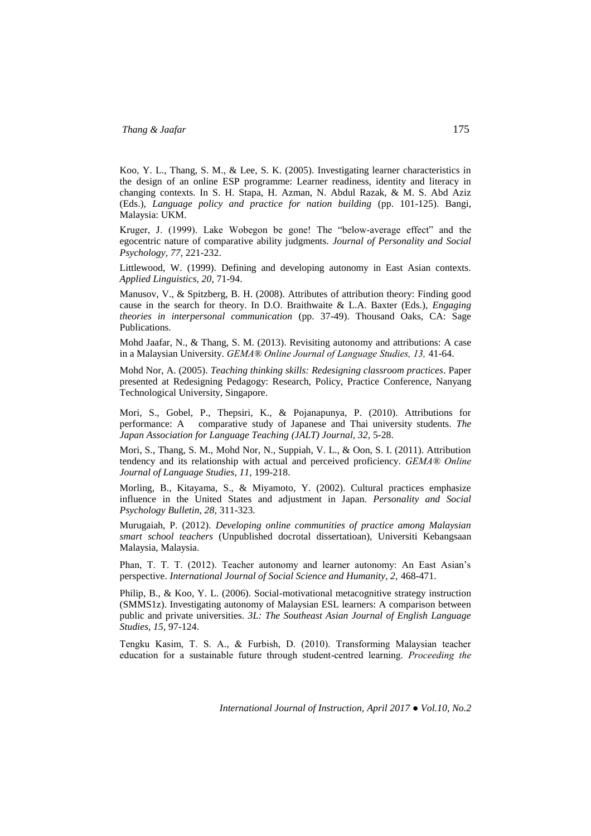Koo, Y. L., Thang, S. M., & Lee, S. K. (2005). Investigating learner characteristics in the design of an online ESP programme: Learner readiness, identity and literacy in changing contexts. In S. H. Stapa, H. Azman, N. Abdul Razak, & M. S. Abd Aziz (Eds.), *Language policy and practice for nation building* (pp. 101-125). Bangi, Malaysia: UKM.

Kruger, J. (1999). Lake Wobegon be gone! The "below-average effect" and the egocentric nature of comparative ability judgments. *Journal of Personality and Social Psychology, 77,* 221-232.

Littlewood, W. (1999). Defining and developing autonomy in East Asian contexts. *Applied Linguistics, 20*, 71-94.

Manusov, V., & Spitzberg, B. H. (2008). Attributes of attribution theory: Finding good cause in the search for theory. In D.O. Braithwaite & L.A. Baxter (Eds.), *Engaging theories in interpersonal communication* (pp. 37-49). Thousand Oaks, CA: Sage Publications.

Mohd Jaafar, N., & Thang, S. M. (2013). Revisiting autonomy and attributions: A case in a Malaysian University. *GEMA® Online Journal of Language Studies, 13,* 41-64.

Mohd Nor, A. (2005). *Teaching thinking skills: Redesigning classroom practices*. Paper presented at Redesigning Pedagogy: Research, Policy, Practice Conference, Nanyang Technological University, Singapore.

Mori, S., Gobel, P., Thepsiri, K., & Pojanapunya, P. (2010). Attributions for performance: A comparative study of Japanese and Thai university students. *The Japan Association for Language Teaching (JALT) Journal, 32,* 5-28.

Mori, S., Thang, S. M., Mohd Nor, N., Suppiah, V. L., & Oon, S. I. (2011). Attribution tendency and its relationship with actual and perceived proficiency. *GEMA® Online Journal of Language Studies, 11,* 199-218.

Morling, B., Kitayama, S., & Miyamoto, Y. (2002). Cultural practices emphasize influence in the United States and adjustment in Japan. *Personality and Social Psychology Bulletin, 28,* 311-323.

Murugaiah, P. (2012). *Developing online communities of practice among Malaysian smart school teachers* (Unpublished docrotal dissertatioan), Universiti Kebangsaan Malaysia, Malaysia.

Phan, T. T. T. (2012). Teacher autonomy and learner autonomy: An East Asian's perspective. *International Journal of Social Science and Humanity, 2,* 468-471.

Philip, B., & Koo, Y. L. (2006). Social-motivational metacognitive strategy instruction (SMMS1z). Investigating autonomy of Malaysian ESL learners: A comparison between public and private universities. *3L: The Southeast Asian Journal of English Language Studies, 15,* 97-124.

Tengku Kasim, T. S. A., & Furbish, D. (2010). Transforming Malaysian teacher education for a sustainable future through student-centred learning. *Proceeding the*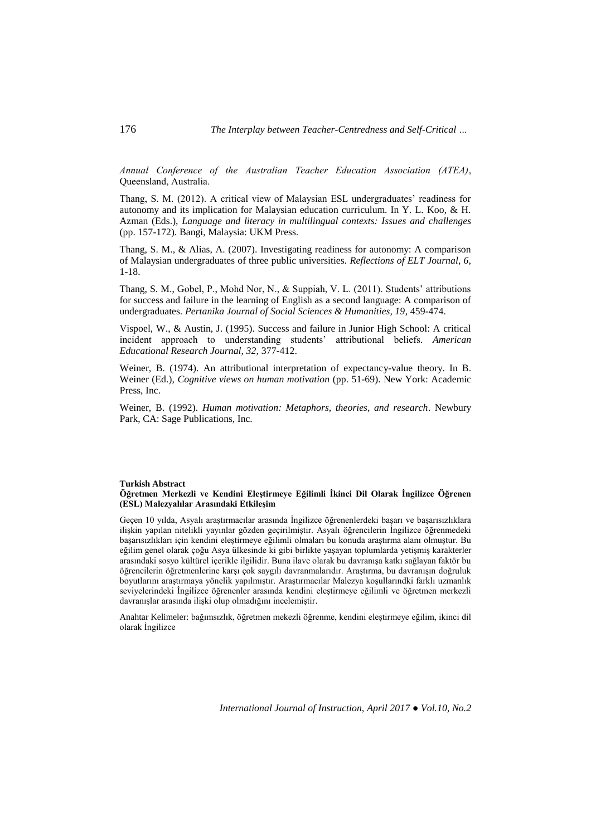*Annual Conference of the Australian Teacher Education Association (ATEA)*, Queensland, Australia.

Thang, S. M. (2012). A critical view of Malaysian ESL undergraduates' readiness for autonomy and its implication for Malaysian education curriculum. In Y. L. Koo, & H. Azman (Eds.), *Language and literacy in multilingual contexts: Issues and challenges*  (pp. 157-172)*.* Bangi, Malaysia: UKM Press.

Thang, S. M., & Alias, A. (2007). Investigating readiness for autonomy: A comparison of Malaysian undergraduates of three public universities. *Reflections of ELT Journal, 6,* 1-18.

Thang, S. M., Gobel, P., Mohd Nor, N., & Suppiah, V. L. (2011). Students' attributions for success and failure in the learning of English as a second language: A comparison of undergraduates. *Pertanika Journal of Social Sciences & Humanities, 19*, 459-474.

Vispoel, W., & Austin, J. (1995). Success and failure in Junior High School: A critical incident approach to understanding students' attributional beliefs. *American Educational Research Journal, 32,* 377-412.

Weiner, B. (1974). An attributional interpretation of expectancy-value theory. In B. Weiner (Ed.), *Cognitive views on human motivation* (pp. 51-69). New York: Academic Press, Inc.

Weiner, B. (1992). *Human motivation: Metaphors, theories, and research*. Newbury Park, CA: Sage Publications, Inc.

#### **Turkish Abstract Öğretmen Merkezli ve Kendini Eleştirmeye Eğilimli İkinci Dil Olarak İngilizce Öğrenen (ESL) Malezyalılar Arasındaki Etkileşim**

Geçen 10 yılda, Asyalı araştırmacılar arasında İngilizce öğrenenlerdeki başarı ve başarısızlıklara ilişkin yapılan nitelikli yayınlar gözden geçirilmiştir. Asyalı öğrencilerin İngilizce öğrenmedeki başarısızlıkları için kendini eleştirmeye eğilimli olmaları bu konuda araştırma alanı olmuştur. Bu eğilim genel olarak çoğu Asya ülkesinde ki gibi birlikte yaşayan toplumlarda yetişmiş karakterler arasındaki sosyo kültürel içerikle ilgilidir. Buna ilave olarak bu davranışa katkı sağlayan faktör bu öğrencilerin öğretmenlerine karşı çok saygılı davranmalarıdır. Araştırma, bu davranışın doğruluk boyutlarını araştırmaya yönelik yapılmıştır. Araştırmacılar Malezya koşullarındki farklı uzmanlık seviyelerindeki İngilizce öğrenenler arasında kendini eleştirmeye eğilimli ve öğretmen merkezli davranışlar arasında ilişki olup olmadığını incelemiştir.

Anahtar Kelimeler: bağımsızlık, öğretmen mekezli öğrenme, kendini eleştirmeye eğilim, ikinci dil olarak İngilizce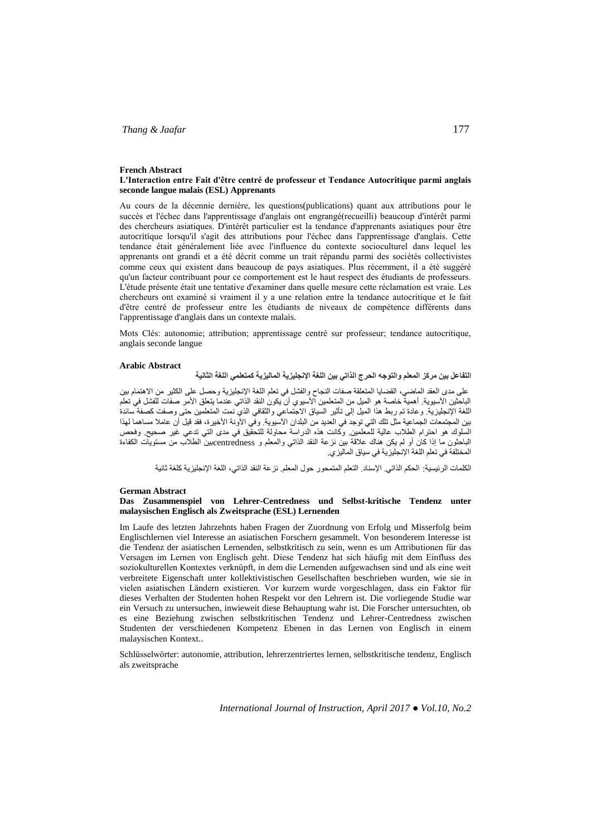#### **French Abstract L'Interaction entre Fait d'être centré de professeur et Tendance Autocritique parmi anglais seconde langue malais (ESL) Apprenants**

Au cours de la décennie dernière, les questions(publications) quant aux attributions pour le succès et l'échec dans l'apprentissage d'anglais ont engrangé(recueilli) beaucoup d'intérêt parmi des chercheurs asiatiques. D'intérêt particulier est la tendance d'apprenants asiatiques pour être autocritique lorsqu'il s'agit des attributions pour l'échec dans l'apprentissage d'anglais. Cette tendance était généralement liée avec l'influence du contexte socioculturel dans lequel les apprenants ont grandi et a été décrit comme un trait répandu parmi des sociétés collectivistes comme ceux qui existent dans beaucoup de pays asiatiques. Plus récemment, il a été suggéré qu'un facteur contribuant pour ce comportement est le haut respect des étudiants de professeurs. L'étude présente était une tentative d'examiner dans quelle mesure cette réclamation est vraie. Les chercheurs ont examiné si vraiment il y a une relation entre la tendance autocritique et le fait d'être centré de professeur entre les étudiants de niveaux de compétence différents dans l'apprentissage d'anglais dans un contexte malais.

Mots Clés: autonomie; attribution; apprentissage centré sur professeur; tendance autocritique, anglais seconde langue

#### **Arabic Abstract**

# **التفاعل بين مركز المعلم والتوجه الحرج الذاتي بين اللغة اإلنجليزية الماليزية كمتعلمي اللغة الثانية**

على مدى العقد الماضي، القضايا المتعلقة صفات النجاح والفشل في تعلم اللغة اإلنجليزية وحصل على الكثير من االهتمام بين الباحثين اآلسيوية. أهمية خاصة هو الميل من المتعلمين اآلسيوي أن يكون النقد الذاتي عندما يتعلق األمر صفات للفشل في تعلم اللغة اإلنجليزية. وعادة تم ربط هذا الميل إلى تأثير السياق االجتماعي والثقافي الذي نمت المتعلمين حتى وصفت كصفة سائدة بين المجتمعات الجماعية مثل تلك التي توجد في العديد من البلدان الآسيوية. وفي الآونة الأخيرة، فقد قيل أن عاملا مساهما لهذا ...<br>السلوك هو احترام الطّلاب عالية للمعلمين<sub>.</sub> وكانت هذه الدراسة محاولة للتحقّيق في مدى التي تدعي غير صحيح<sub>.</sub> وفحص الباحثون ما إذا كان أو لم يكن هناك عالقة بين نزعة النقد الذاتي والمعلم و centrednessبين الطالب من مستويات الكفاءة المختلفة في تعلم اللغة اإلنجليزية في سياق الماليزي.

الكلمات الرئيسية: الحكم الذاتي. اإلسناد. التعلم المتمحور حول المعلم. نزعة النقد الذاتي، اللغة اإلنجليزية كلغة ثانية

#### **German Abstract**

#### **Das Zusammenspiel von Lehrer-Centredness und Selbst-kritische Tendenz unter malaysischen Englisch als Zweitsprache (ESL) Lernenden**

Im Laufe des letzten Jahrzehnts haben Fragen der Zuordnung von Erfolg und Misserfolg beim Englischlernen viel Interesse an asiatischen Forschern gesammelt. Von besonderem Interesse ist die Tendenz der asiatischen Lernenden, selbstkritisch zu sein, wenn es um Attributionen für das Versagen im Lernen von Englisch geht. Diese Tendenz hat sich häufig mit dem Einfluss des soziokulturellen Kontextes verknüpft, in dem die Lernenden aufgewachsen sind und als eine weit verbreitete Eigenschaft unter kollektivistischen Gesellschaften beschrieben wurden, wie sie in vielen asiatischen Ländern existieren. Vor kurzem wurde vorgeschlagen, dass ein Faktor für dieses Verhalten der Studenten hohen Respekt vor den Lehrern ist. Die vorliegende Studie war ein Versuch zu untersuchen, inwieweit diese Behauptung wahr ist. Die Forscher untersuchten, ob es eine Beziehung zwischen selbstkritischen Tendenz und Lehrer-Centredness zwischen Studenten der verschiedenen Kompetenz Ebenen in das Lernen von Englisch in einem malaysischen Kontext..

Schlüsselwörter: autonomie, attribution, lehrerzentriertes lernen, selbstkritische tendenz, Englisch als zweitsprache